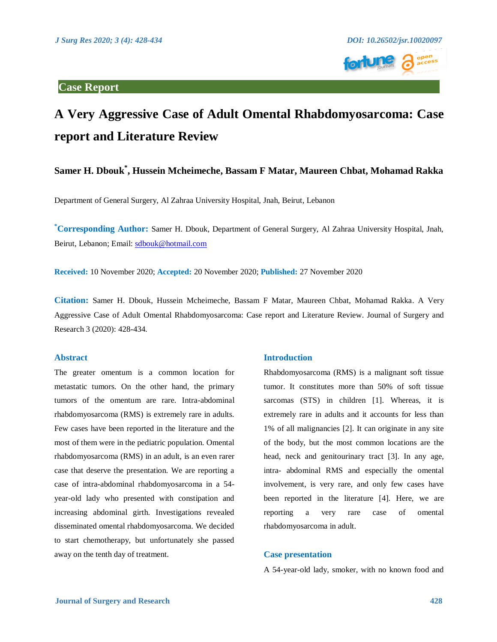

# **A Very Aggressive Case of Adult Omental Rhabdomyosarcoma: Case report and Literature Review**

## **Samer H. Dbouk\* , Hussein Mcheimeche, Bassam F Matar, Maureen Chbat, Mohamad Rakka**

Department of General Surgery, Al Zahraa University Hospital, Jnah, Beirut, Lebanon

**\*Corresponding Author:** Samer H. Dbouk, Department of General Surgery, Al Zahraa University Hospital, Jnah, Beirut, Lebanon; Email: [sdbouk@hotmail.com](mailto:sdbouk@hotmail.com)

**Received:** 10 November 2020; **Accepted:** 20 November 2020; **Published:** 27 November 2020

**Citation:** Samer H. Dbouk, Hussein Mcheimeche, Bassam F Matar, Maureen Chbat, Mohamad Rakka. A Very Aggressive Case of Adult Omental Rhabdomyosarcoma: Case report and Literature Review. Journal of Surgery and Research 3 (2020): 428-434.

#### **Abstract**

The greater omentum is a common location for metastatic tumors. On the other hand, the primary tumors of the omentum are rare. Intra-abdominal rhabdomyosarcoma (RMS) is extremely rare in adults. Few cases have been reported in the literature and the most of them were in the pediatric population. Omental rhabdomyosarcoma (RMS) in an adult, is an even rarer case that deserve the presentation. We are reporting a case of intra-abdominal rhabdomyosarcoma in a 54 year-old lady who presented with constipation and increasing abdominal girth. Investigations revealed disseminated omental rhabdomyosarcoma. We decided to start chemotherapy, but unfortunately she passed away on the tenth day of treatment.

#### **Introduction**

Rhabdomyosarcoma (RMS) is a malignant soft tissue tumor. It constitutes more than 50% of soft tissue sarcomas (STS) in children [1]. Whereas, it is extremely rare in adults and it accounts for less than 1% of all malignancies [2]. It can originate in any site of the body, but the most common locations are the head, neck and genitourinary tract [3]. In any age, intra- abdominal RMS and especially the omental involvement, is very rare, and only few cases have been reported in the literature [4]. Here, we are reporting a very rare case of omental rhabdomyosarcoma in adult.

### **Case presentation**

A 54-year-old lady, smoker, with no known food and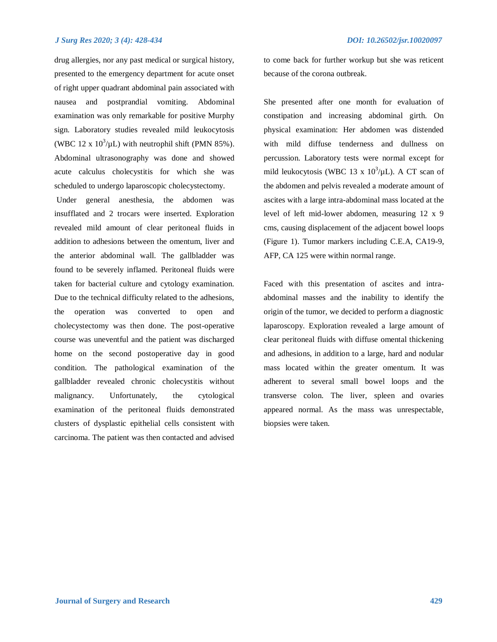#### *J Surg Res 2020; 3 (4): 428-434 DOI: 10.26502/jsr.10020097*

drug allergies, nor any past medical or surgical history, presented to the emergency department for acute onset of right upper quadrant abdominal pain associated with nausea and postprandial vomiting. Abdominal examination was only remarkable for positive Murphy sign. Laboratory studies revealed mild leukocytosis (WBC 12 x  $10^3$ /µL) with neutrophil shift (PMN 85%). Abdominal ultrasonography was done and showed acute calculus cholecystitis for which she was scheduled to undergo laparoscopic cholecystectomy.

Under general anesthesia, the abdomen was insufflated and 2 trocars were inserted. Exploration revealed mild amount of clear peritoneal fluids in addition to adhesions between the omentum, liver and the anterior abdominal wall. The gallbladder was found to be severely inflamed. Peritoneal fluids were taken for bacterial culture and cytology examination. Due to the technical difficulty related to the adhesions, the operation was converted to open and cholecystectomy was then done. The post-operative course was uneventful and the patient was discharged home on the second postoperative day in good condition. The pathological examination of the gallbladder revealed chronic cholecystitis without malignancy. Unfortunately, the cytological examination of the peritoneal fluids demonstrated clusters of dysplastic epithelial cells consistent with carcinoma. The patient was then contacted and advised

to come back for further workup but she was reticent because of the corona outbreak.

She presented after one month for evaluation of constipation and increasing abdominal girth. On physical examination: Her abdomen was distended with mild diffuse tenderness and dullness on percussion. Laboratory tests were normal except for mild leukocytosis (WBC 13 x  $10^3/\mu$ L). A CT scan of the abdomen and pelvis revealed a moderate amount of ascites with a large intra-abdominal mass located at the level of left mid-lower abdomen, measuring 12 x 9 cms, causing displacement of the adjacent bowel loops (Figure 1). Tumor markers including C.E.A, CA19-9, AFP, CA 125 were within normal range.

Faced with this presentation of ascites and intraabdominal masses and the inability to identify the origin of the tumor, we decided to perform a diagnostic laparoscopy. Exploration revealed a large amount of clear peritoneal fluids with diffuse omental thickening and adhesions, in addition to a large, hard and nodular mass located within the greater omentum. It was adherent to several small bowel loops and the transverse colon. The liver, spleen and ovaries appeared normal. As the mass was unrespectable, biopsies were taken.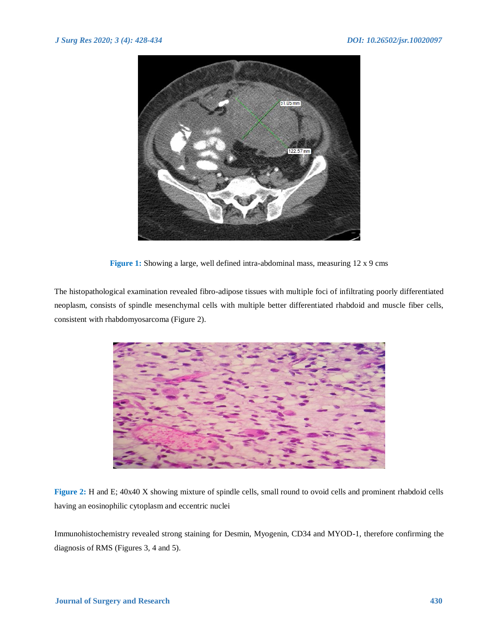

**Figure 1:** Showing a large, well defined intra-abdominal mass, measuring 12 x 9 cms

The histopathological examination revealed fibro-adipose tissues with multiple foci of infiltrating poorly differentiated neoplasm, consists of spindle mesenchymal cells with multiple better differentiated rhabdoid and muscle fiber cells, consistent with rhabdomyosarcoma (Figure 2).



**Figure 2:** H and E; 40x40 X showing mixture of spindle cells, small round to ovoid cells and prominent rhabdoid cells having an eosinophilic cytoplasm and eccentric nuclei

Immunohistochemistry revealed strong staining for Desmin, Myogenin, CD34 and MYOD-1, therefore confirming the diagnosis of RMS (Figures 3, 4 and 5).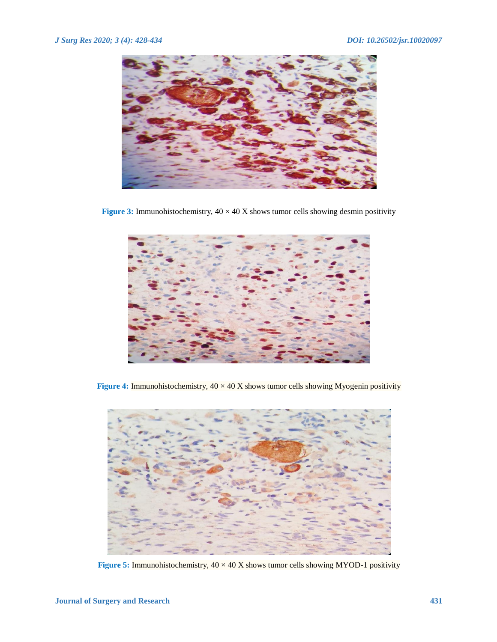

**Figure 3:** Immunohistochemistry,  $40 \times 40$  X shows tumor cells showing desmin positivity



**Figure 4:** Immunohistochemistry,  $40 \times 40$  X shows tumor cells showing Myogenin positivity



**Figure 5:** Immunohistochemistry,  $40 \times 40$  X shows tumor cells showing MYOD-1 positivity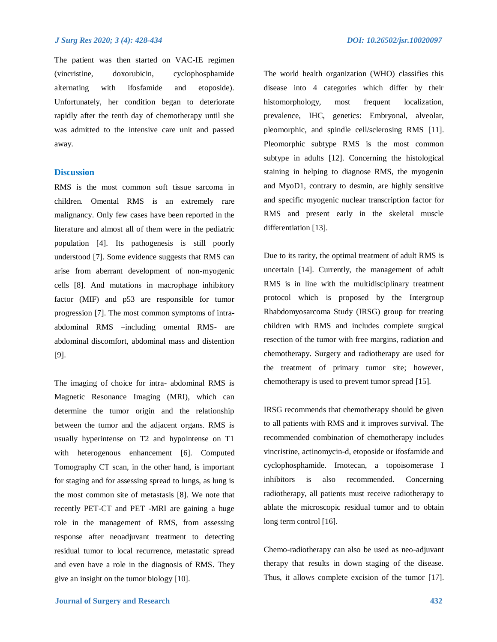The patient was then started on VAC-IE regimen (vincristine, doxorubicin, cyclophosphamide alternating with ifosfamide and etoposide). Unfortunately, her condition began to deteriorate rapidly after the tenth day of chemotherapy until she was admitted to the intensive care unit and passed away.

#### **Discussion**

RMS is the most common soft tissue sarcoma in children. Omental RMS is an extremely rare malignancy. Only few cases have been reported in the literature and almost all of them were in the pediatric population [4]. Its pathogenesis is still poorly understood [7]. Some evidence suggests that RMS can arise from aberrant development of non-myogenic cells [8]. And mutations in macrophage inhibitory factor (MIF) and p53 are responsible for tumor progression [7]. The most common symptoms of intraabdominal RMS –including omental RMS- are abdominal discomfort, abdominal mass and distention [9].

The imaging of choice for intra- abdominal RMS is Magnetic Resonance Imaging (MRI), which can determine the tumor origin and the relationship between the tumor and the adjacent organs. RMS is usually hyperintense on T2 and hypointense on T1 with heterogenous enhancement [6]. Computed Tomography CT scan, in the other hand, is important for staging and for assessing spread to lungs, as lung is the most common site of metastasis [8]. We note that recently PET-CT and PET -MRI are gaining a huge role in the management of RMS, from assessing response after neoadjuvant treatment to detecting residual tumor to local recurrence, metastatic spread and even have a role in the diagnosis of RMS. They give an insight on the tumor biology [10].

The world health organization (WHO) classifies this disease into 4 categories which differ by their histomorphology, most frequent localization, prevalence, IHC, genetics: Embryonal, alveolar, pleomorphic, and spindle cell/sclerosing RMS [11]. Pleomorphic subtype RMS is the most common subtype in adults [12]. Concerning the histological staining in helping to diagnose RMS, the myogenin and MyoD1, contrary to desmin, are highly sensitive and specific myogenic nuclear transcription factor for RMS and present early in the skeletal muscle differentiation [13].

Due to its rarity, the optimal treatment of adult RMS is uncertain [14]. Currently, the management of adult RMS is in line with the multidisciplinary treatment protocol which is proposed by the Intergroup Rhabdomyosarcoma Study (IRSG) group for treating children with RMS and includes complete surgical resection of the tumor with free margins, radiation and chemotherapy. Surgery and radiotherapy are used for the treatment of primary tumor site; however, chemotherapy is used to prevent tumor spread [15].

IRSG recommends that chemotherapy should be given to all patients with RMS and it improves survival. The recommended combination of chemotherapy includes vincristine, actinomycin-d, etoposide or ifosfamide and cyclophosphamide. Irnotecan, a topoisomerase I inhibitors is also recommended. Concerning radiotherapy, all patients must receive radiotherapy to ablate the microscopic residual tumor and to obtain long term control [16].

Chemo-radiotherapy can also be used as neo-adjuvant therapy that results in down staging of the disease. Thus, it allows complete excision of the tumor [17].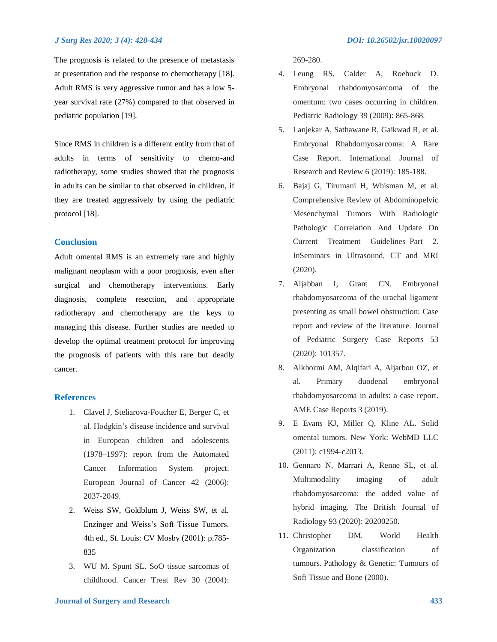#### *J Surg Res 2020; 3 (4): 428-434 DOI: 10.26502/jsr.10020097*

The prognosis is related to the presence of metastasis at presentation and the response to chemotherapy [18]. Adult RMS is very aggressive tumor and has a low 5 year survival rate (27%) compared to that observed in pediatric population [19].

Since RMS in children is a different entity from that of adults in terms of sensitivity to chemo-and radiotherapy, some studies showed that the prognosis in adults can be similar to that observed in children, if they are treated aggressively by using the pediatric protocol [18].

#### **Conclusion**

Adult omental RMS is an extremely rare and highly malignant neoplasm with a poor prognosis, even after surgical and chemotherapy interventions. Early diagnosis, complete resection, and appropriate radiotherapy and chemotherapy are the keys to managing this disease. Further studies are needed to develop the optimal treatment protocol for improving the prognosis of patients with this rare but deadly cancer.

#### **References**

- 1. Clavel J, Steliarova-Foucher E, Berger C, et al. Hodgkin's disease incidence and survival in European children and adolescents (1978–1997): report from the Automated Cancer Information System project. European Journal of Cancer 42 (2006): 2037-2049.
- 2. Weiss SW, Goldblum J, Weiss SW, et al. Enzinger and Weiss's Soft Tissue Tumors. 4th ed., St. Louis: CV Mosby (2001): p.785- 835
- 3. WU M. Spunt SL. SoO tissue sarcomas of childhood. Cancer Treat Rev 30 (2004):

269-280.

- 4. Leung RS, Calder A, Roebuck D. Embryonal rhabdomyosarcoma of the omentum: two cases occurring in children. Pediatric Radiology 39 (2009): 865-868.
- 5. Lanjekar A, Sathawane R, Gaikwad R, et al. Embryonal Rhabdomyosarcoma: A Rare Case Report. International Journal of Research and Review 6 (2019): 185-188.
- 6. Bajaj G, Tirumani H, Whisman M, et al. Comprehensive Review of Abdominopelvic Mesenchymal Tumors With Radiologic Pathologic Correlation And Update On Current Treatment Guidelines–Part 2. InSeminars in Ultrasound, CT and MRI (2020).
- 7. Aljabban I, Grant CN. Embryonal rhabdomyosarcoma of the urachal ligament presenting as small bowel obstruction: Case report and review of the literature. Journal of Pediatric Surgery Case Reports 53 (2020): 101357.
- 8. Alkhormi AM, Alqifari A, Aljarbou OZ, et al. Primary duodenal embryonal rhabdomyosarcoma in adults: a case report. AME Case Reports 3 (2019).
- 9. E Evans KJ, Miller Q, Kline AL. Solid omental tumors. New York: WebMD LLC (2011): c1994-c2013.
- 10. Gennaro N, Marrari A, Renne SL, et al. Multimodality imaging of adult rhabdomyosarcoma: the added value of hybrid imaging. The British Journal of Radiology 93 (2020): 20200250.
- 11. Christopher DM. World Health Organization classification of tumours. Pathology & Genetic: Tumours of Soft Tissue and Bone (2000).